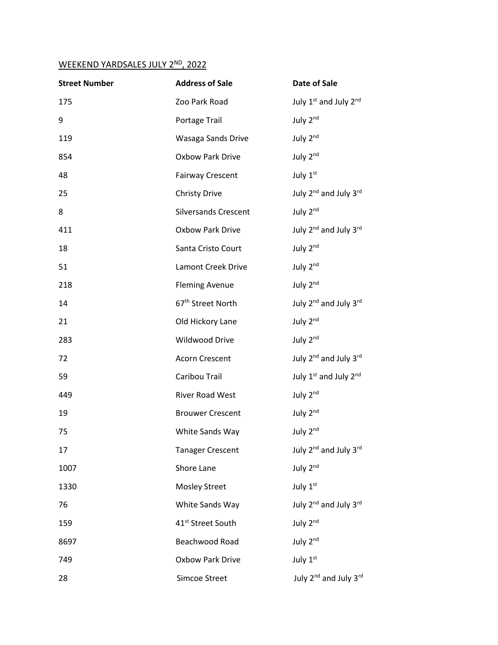## WEEKEND YARDSALES JULY 2ND, 2022

| <b>Street Number</b> | <b>Address of Sale</b>        | <b>Date of Sale</b>                           |
|----------------------|-------------------------------|-----------------------------------------------|
| 175                  | Zoo Park Road                 | July 1 <sup>st</sup> and July 2 <sup>nd</sup> |
| 9                    | Portage Trail                 | July 2nd                                      |
| 119                  | Wasaga Sands Drive            | July 2nd                                      |
| 854                  | <b>Oxbow Park Drive</b>       | July 2 <sup>nd</sup>                          |
| 48                   | <b>Fairway Crescent</b>       | July 1st                                      |
| 25                   | <b>Christy Drive</b>          | July 2 <sup>nd</sup> and July 3 <sup>rd</sup> |
| 8                    | <b>Silversands Crescent</b>   | July 2nd                                      |
| 411                  | Oxbow Park Drive              | July 2 <sup>nd</sup> and July 3 <sup>rd</sup> |
| 18                   | Santa Cristo Court            | July 2nd                                      |
| 51                   | Lamont Creek Drive            | July 2nd                                      |
| 218                  | <b>Fleming Avenue</b>         | July 2nd                                      |
| 14                   | 67 <sup>th</sup> Street North | July 2 <sup>nd</sup> and July 3 <sup>rd</sup> |
| 21                   | Old Hickory Lane              | July 2nd                                      |
| 283                  | Wildwood Drive                | July 2 <sup>nd</sup>                          |
| 72                   | Acorn Crescent                | July 2 <sup>nd</sup> and July 3rd             |
| 59                   | Caribou Trail                 | July 1st and July 2nd                         |
| 449                  | River Road West               | July 2nd                                      |
| 19                   | <b>Brouwer Crescent</b>       | July 2nd                                      |
| 75                   | White Sands Way               | July 2nd                                      |
| 17                   | <b>Tanager Crescent</b>       | July 2 <sup>nd</sup> and July 3rd             |
| 1007                 | Shore Lane                    | July 2nd                                      |
| 1330                 | <b>Mosley Street</b>          | July 1st                                      |
| 76                   | White Sands Way               | July 2 <sup>nd</sup> and July 3 <sup>rd</sup> |
| 159                  | 41 <sup>st</sup> Street South | July 2nd                                      |
| 8697                 | Beachwood Road                | July 2nd                                      |
| 749                  | <b>Oxbow Park Drive</b>       | July 1st                                      |
| 28                   | Simcoe Street                 | July 2 <sup>nd</sup> and July 3 <sup>rd</sup> |